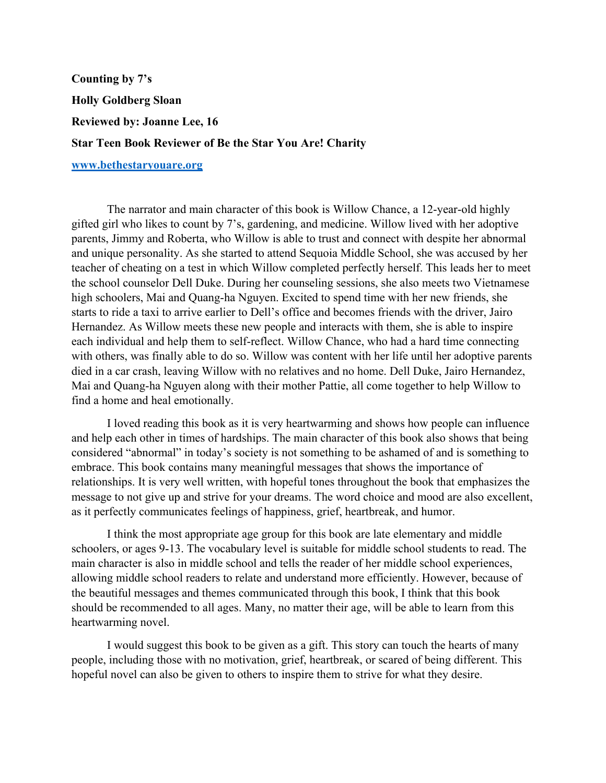**Counting by 7's Holly Goldberg Sloan Reviewed by: Joanne Lee, 16 Star Teen Book Reviewer of Be the Star You Are! Charity**

## **www.bethestaryouare.org**

The narrator and main character of this book is Willow Chance, a 12-year-old highly gifted girl who likes to count by 7's, gardening, and medicine. Willow lived with her adoptive parents, Jimmy and Roberta, who Willow is able to trust and connect with despite her abnormal and unique personality. As she started to attend Sequoia Middle School, she was accused by her teacher of cheating on a test in which Willow completed perfectly herself. This leads her to meet the school counselor Dell Duke. During her counseling sessions, she also meets two Vietnamese high schoolers, Mai and Quang-ha Nguyen. Excited to spend time with her new friends, she starts to ride a taxi to arrive earlier to Dell's office and becomes friends with the driver, Jairo Hernandez. As Willow meets these new people and interacts with them, she is able to inspire each individual and help them to self-reflect. Willow Chance, who had a hard time connecting with others, was finally able to do so. Willow was content with her life until her adoptive parents died in a car crash, leaving Willow with no relatives and no home. Dell Duke, Jairo Hernandez, Mai and Quang-ha Nguyen along with their mother Pattie, all come together to help Willow to find a home and heal emotionally.

I loved reading this book as it is very heartwarming and shows how people can influence and help each other in times of hardships. The main character of this book also shows that being considered "abnormal" in today's society is not something to be ashamed of and is something to embrace. This book contains many meaningful messages that shows the importance of relationships. It is very well written, with hopeful tones throughout the book that emphasizes the message to not give up and strive for your dreams. The word choice and mood are also excellent, as it perfectly communicates feelings of happiness, grief, heartbreak, and humor.

I think the most appropriate age group for this book are late elementary and middle schoolers, or ages 9-13. The vocabulary level is suitable for middle school students to read. The main character is also in middle school and tells the reader of her middle school experiences, allowing middle school readers to relate and understand more efficiently. However, because of the beautiful messages and themes communicated through this book, I think that this book should be recommended to all ages. Many, no matter their age, will be able to learn from this heartwarming novel.

I would suggest this book to be given as a gift. This story can touch the hearts of many people, including those with no motivation, grief, heartbreak, or scared of being different. This hopeful novel can also be given to others to inspire them to strive for what they desire.